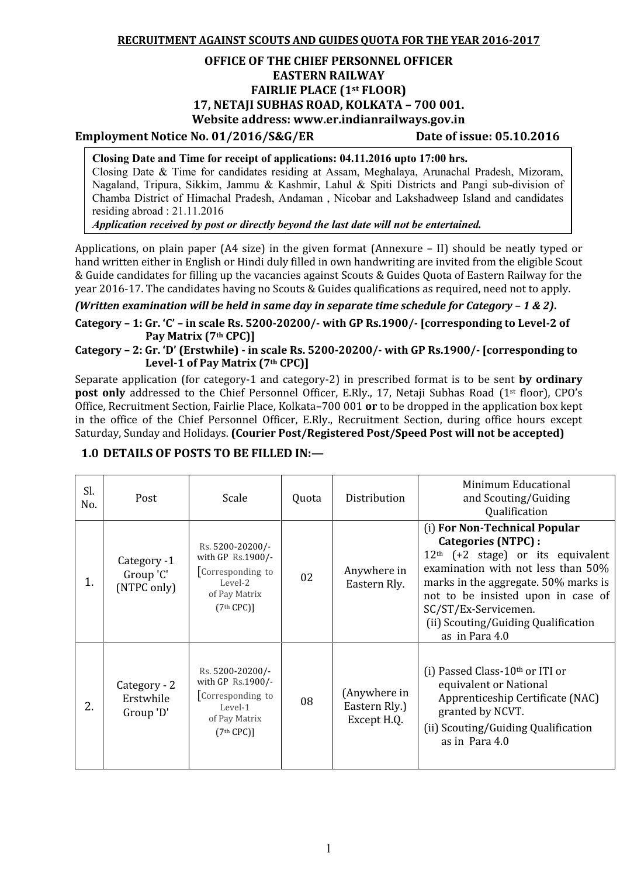**RECRUITMENT AGAINST SCOUTS AND GUIDES QUOTA FOR THE YEAR 2016-2017**

## **OFFICE OF THE CHIEF PERSONNEL OFFICER EASTERN RAILWAY FAIRLIE PLACE (1st FLOOR) 17, NETAJI SUBHAS ROAD, KOLKATA – 700 001. Website address: www.er.indianrailways.gov.in**

## **Employment Notice No. 01/2016/S&G/ER Date of issue: 05.10.2016**

#### **Closing Date and Time for receipt of applications: 04.11.2016 upto 17:00 hrs.**

Closing Date & Time for candidates residing at Assam, Meghalaya, Arunachal Pradesh, Mizoram, Nagaland, Tripura, Sikkim, Jammu & Kashmir, Lahul & Spiti Districts and Pangi sub-division of Chamba District of Himachal Pradesh, Andaman , Nicobar and Lakshadweep Island and candidates residing abroad : 21.11.2016

*Application received by post or directly beyond the last date will not be entertained.*

Applications, on plain paper (A4 size) in the given format (Annexure – II) should be neatly typed or hand written either in English or Hindi duly filled in own handwriting are invited from the eligible Scout & Guide candidates for filling up the vacancies against Scouts & Guides Quota of Eastern Railway for the year 2016-17. The candidates having no Scouts & Guides qualifications as required, need not to apply.

*(Written examination will be held in same day in separate time schedule for Category – 1 & 2)***.**

**Category – 1: Gr. 'C' – in scale Rs. 5200-20200/- with GP Rs.1900/- [corresponding to Level-2 of Pay Matrix (7th CPC)]**

**Category – 2: Gr. 'D' (Erstwhile) -in scale Rs. 5200-20200/- with GP Rs.1900/- [corresponding to Level-1 of Pay Matrix (7th CPC)]**

Separate application (for category-1 and category-2) in prescribed format is to be sent **by ordinary** post only addressed to the Chief Personnel Officer, E.Rly., 17, Netaji Subhas Road (1<sup>st</sup> floor), CPO's Office, Recruitment Section, Fairlie Place, Kolkata–700 001 **or** to be dropped in the application box kept in the office of the Chief Personnel Officer, E.Rly., Recruitment Section, during office hours except Saturday, Sunday and Holidays. **(Courier Post/Registered Post/Speed Post will not be accepted)**

| Sl.<br>No. | Post                                    | Scale                                                                                                    | Quota | Distribution                                 | Minimum Educational<br>and Scouting/Guiding<br>Qualification                                                                                                                                                                                                                                     |
|------------|-----------------------------------------|----------------------------------------------------------------------------------------------------------|-------|----------------------------------------------|--------------------------------------------------------------------------------------------------------------------------------------------------------------------------------------------------------------------------------------------------------------------------------------------------|
| 1.         | Category -1<br>Group 'C'<br>(NTPC only) | Rs. 5200-20200/-<br>with GP Rs.1900/-<br>Corresponding to<br>Level-2<br>of Pay Matrix<br>$(7th$ CPC)]    | 02    | Anywhere in<br>Eastern Rly.                  | (i) For Non-Technical Popular<br>Categories (NTPC) :<br>$12th$ (+2 stage) or its equivalent<br>examination with not less than 50%<br>marks in the aggregate. 50% marks is<br>not to be insisted upon in case of<br>SC/ST/Ex-Servicemen.<br>(ii) Scouting/Guiding Qualification<br>as in Para 4.0 |
| 2.         | Category - 2<br>Erstwhile<br>Group 'D'  | Rs. 5200-20200/-<br>with GP Rs.1900/-<br>Corresponding to<br>Level-1<br>of Pay Matrix<br>$(7th$ CPC $)]$ | 08    | (Anywhere in<br>Eastern Rly.)<br>Except H.Q. | (i) Passed Class-10th or ITI or<br>equivalent or National<br>Apprenticeship Certificate (NAC)<br>granted by NCVT.<br>(ii) Scouting/Guiding Qualification<br>as in Para 4.0                                                                                                                       |

## **1.0 DETAILS OF POSTS TO BE FILLED IN:—**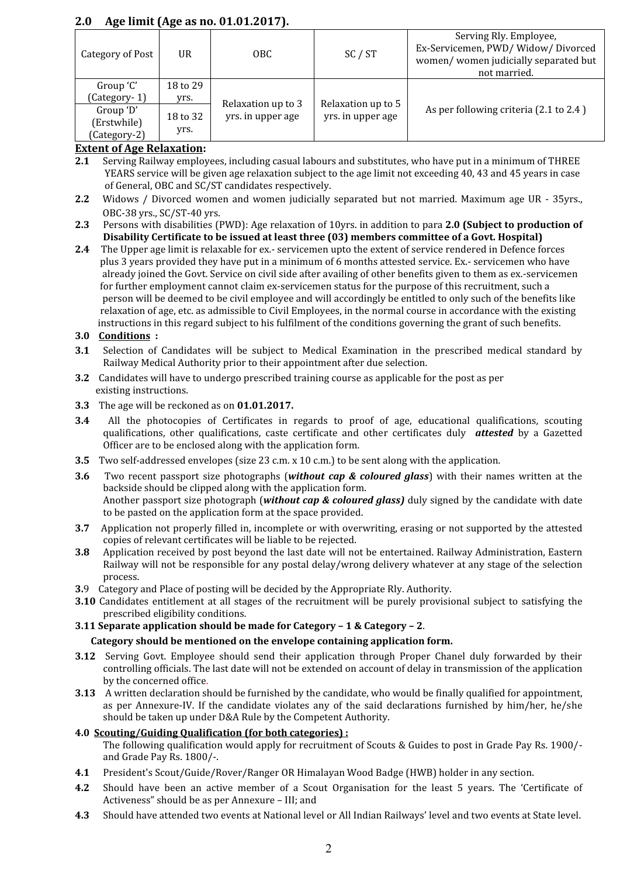# **2.0 Age limit (Age as no. 01.01.2017).**

| Category of Post                                                      | <b>UR</b>                            | OBC.                                    | SC / ST                                 | Serving Rly. Employee,<br>Ex-Servicemen, PWD/Widow/Divorced<br>women/women judicially separated but<br>not married. |
|-----------------------------------------------------------------------|--------------------------------------|-----------------------------------------|-----------------------------------------|---------------------------------------------------------------------------------------------------------------------|
| Group 'C'<br>(Category-1)<br>Group 'D'<br>(Erstwhile)<br>(Category-2) | 18 to 29<br>yrs.<br>18 to 32<br>yrs. | Relaxation up to 3<br>yrs. in upper age | Relaxation up to 5<br>yrs. in upper age | As per following criteria (2.1 to 2.4)                                                                              |

## **Extent of Age Relaxation:**

- **2.1** Serving Railway employees, including casual labours and substitutes, who have put in a minimum of THREE YEARS service will be given age relaxation subject to the age limit not exceeding 40, 43 and 45 years in case of General, OBC and SC/ST candidates respectively.
- **2.2** Widows / Divorced women and women judicially separated but not married. Maximum age UR 35yrs., OBC-38 yrs., SC/ST-40 yrs.
- **2.3** Persons with disabilities (PWD): Age relaxation of 10yrs. in addition to para **2.0 (Subject to production of Disability Certificate to be issued at least three (03) members committee of a Govt. Hospital)**
- **2.4** The Upper age limit is relaxable for ex.- servicemen upto the extent of service rendered in Defence forces plus 3 years provided they have put in a minimum of 6 months attested service. Ex.- servicemen who have already joined the Govt. Service on civil side after availing of other benefits given to them as ex.-servicemen for further employment cannot claim ex-servicemen status for the purpose of this recruitment, such a person will be deemed to be civil employee and will accordingly be entitled to only such of the benefits like relaxation of age, etc. as admissible to Civil Employees, in the normal course in accordance with the existing instructions in this regard subject to his fulfilment of the conditions governing the grant of such benefits.

#### **3.0 Conditions :**

- **3.1** Selection of Candidates will be subject to Medical Examination in the prescribed medical standard by Railway Medical Authority prior to their appointment after due selection.
- **3.2** Candidates will have to undergo prescribed training course as applicable for the post as per existing instructions.
- **3.3** The age will be reckoned as on **01.01.2017.**
- **3.4** All the photocopies of Certificates in regards to proof of age, educational qualifications, scouting qualifications, other qualifications, caste certificate and other certificates duly *attested* by a Gazetted Officer are to be enclosed along with the application form.
- **3.5** Two self-addressed envelopes (size 23 c.m. x 10 c.m.) to be sent along with the application.
- **3.6** Two recent passport size photographs (*without cap & coloured glass*) with their names written at the backside should be clipped along with the application form. Another passport size photograph (*without cap & coloured glass)* duly signed by the candidate with date to be pasted on the application form at the space provided.
- **3.7** Application not properly filled in, incomplete or with overwriting, erasing or not supported by the attested copies of relevant certificates will be liable to be rejected.
- **3.8** Application received by post beyond the last date will not be entertained. Railway Administration, Eastern Railway will not be responsible for any postal delay/wrong delivery whatever at any stage of the selection process.
- **3.**9 Category and Place of posting will be decided by the Appropriate Rly. Authority.
- **3.10** Candidates entitlement at all stages of the recruitment will be purely provisional subject to satisfying the prescribed eligibility conditions.

#### **3.11 Separate application should be made for Category – 1 & Category – 2**.

#### **Category should be mentioned on the envelope containing application form.**

- **3.12** Serving Govt. Employee should send their application through Proper Chanel duly forwarded by their controlling officials. The last date will not be extended on account of delay in transmission of the application
- **3.13** A written declaration should be furnished by the candidate, who would be finally qualified for appointment, as per Annexure-IV. If the candidate violates any of the said declarations furnished by him/her, he/she should be taken up under D&A Rule by the Competent Authority.

#### **4.0 Scouting/Guiding Qualification (for both categories) :**

The following qualification would apply for recruitment of Scouts & Guides to post in Grade Pay Rs. 1900/ and Grade Pay Rs. 1800/-.

- **4.1** President's Scout/Guide/Rover/Ranger OR Himalayan Wood Badge (HWB) holder in any section.
- **4.2** Should have been an active member of a Scout Organisation for the least 5 years. The 'Certificate of Activeness" should be as per Annexure – III; and
- **4.3** Should have attended two events at National level or All Indian Railways' level and two events at State level.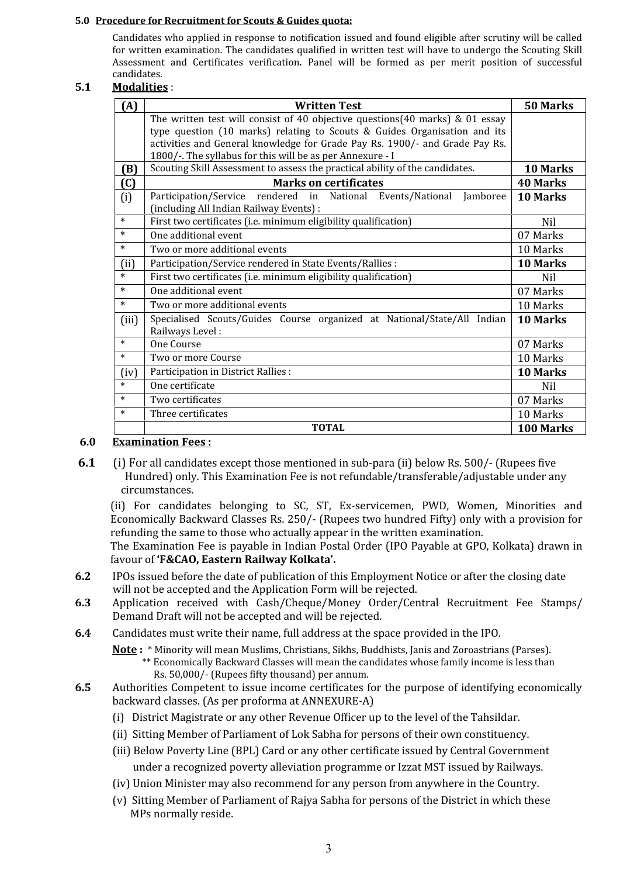#### **5.0 Procedure for Recruitment for Scouts & Guides quota:**

Candidates who applied in response to notification issued and found eligible after scrutiny will be called for written examination. The candidates qualified in written test will have to undergo the Scouting Skill Assessment and Certificates verification*.* Panel will be formed as per merit position of successful candidates.

## **5.1 Modalities** :

| (A)               | <b>Written Test</b>                                                                                               | 50 Marks        |
|-------------------|-------------------------------------------------------------------------------------------------------------------|-----------------|
|                   | The written test will consist of 40 objective questions $(40 \text{ marks})$ & 01 essay                           |                 |
|                   | type question (10 marks) relating to Scouts & Guides Organisation and its                                         |                 |
|                   | activities and General knowledge for Grade Pay Rs. 1900/- and Grade Pay Rs.                                       |                 |
|                   | 1800/-. The syllabus for this will be as per Annexure - I                                                         |                 |
| (B)               | Scouting Skill Assessment to assess the practical ability of the candidates.                                      | 10 Marks        |
| $\left( 0\right)$ | <b>Marks on certificates</b>                                                                                      | <b>40 Marks</b> |
| (i)               | Participation/Service rendered in National Events/National<br>Jamboree<br>(including All Indian Railway Events) : | 10 Marks        |
| $\ast$            | First two certificates (i.e. minimum eligibility qualification)                                                   | Nil             |
| $\ast$            | One additional event                                                                                              | 07 Marks        |
| $\ast$            | Two or more additional events                                                                                     | 10 Marks        |
| (ii)              | Participation/Service rendered in State Events/Rallies :                                                          | 10 Marks        |
| $\ast$            | First two certificates (i.e. minimum eligibility qualification)                                                   | Nil             |
| $\ast$            | One additional event                                                                                              | 07 Marks        |
| $\ast$            | Two or more additional events                                                                                     | 10 Marks        |
| (iii)             | Specialised Scouts/Guides Course organized at National/State/All Indian<br>Railways Level:                        | 10 Marks        |
| $\ast$            | One Course                                                                                                        | 07 Marks        |
| $\ast$            | Two or more Course                                                                                                | 10 Marks        |
| (iv)              | Participation in District Rallies :                                                                               | 10 Marks        |
| $\ast$            | One certificate                                                                                                   | Nil             |
| $\ast$            | Two certificates                                                                                                  | 07 Marks        |
| $\ast$            | Three certificates                                                                                                | 10 Marks        |
|                   | <b>TOTAL</b>                                                                                                      | 100 Marks       |

## **6.0 Examination Fees :**

**6.1** (i) For all candidates except those mentioned in sub-para (ii) below Rs. 500/- (Rupees five Hundred) only. This Examination Fee is not refundable/transferable/adjustable under any circumstances.

(ii) For candidates belonging to SC, ST, Ex-servicemen, PWD, Women, Minorities and Economically Backward Classes Rs. 250/- (Rupees two hundred Fifty) only with a provision for refunding the same to those who actually appear in the written examination. The Examination Fee is payable in Indian Postal Order (IPO Payable at GPO, Kolkata) drawn in

favour of **'F&CAO, Eastern Railway Kolkata'. 6.2** IPOs issued before the date of publication of this Employment Notice or after the closing date

- will not be accepted and the Application Form will be rejected. **6.3** Application received with Cash/Cheque/Money Order/Central Recruitment Fee Stamps/ Demand Draft will not be accepted and will be rejected.
- **6.4** Candidates must write their name, full address at the space provided in the IPO.
	- **Note :** \* Minority will mean Muslims, Christians, Sikhs, Buddhists, Janis and Zoroastrians (Parses). \*\* Economically Backward Classes will mean the candidates whose family income is less than Rs. 50,000/- (Rupees fifty thousand) per annum.
- 6.5 Authorities Competent to issue income certificates for the purpose of identifying economically backward classes. (As per proforma at ANNEXURE-A)
	- (i) District Magistrate or any other Revenue Officer up to the level of the Tahsildar.
	- (ii) Sitting Member of Parliament of Lok Sabha for persons of their own constituency.
	- (iii) Below Poverty Line (BPL) Card or any other certificate issued by Central Government under a recognized poverty alleviation programme or Izzat MST issued by Railways.
	- (iv) Union Minister may also recommend for any person from anywhere in the Country.
	- (v) Sitting Member of Parliament of Rajya Sabha for persons of the District in which these MPs normally reside.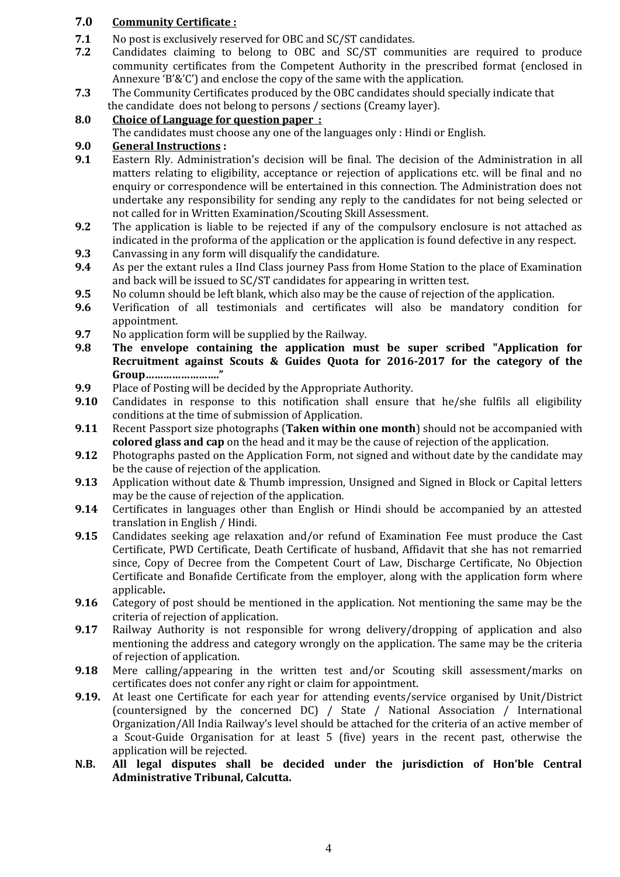## **7.0 Community Certificate :**

- **7.1** No post is exclusively reserved for OBC and SC/ST candidates.<br>**7.2** Candidates claiming to belong to OBC and SC/ST community
- **7.2** Candidates claiming to belong to OBC and SC/ST communities are required to produce community certificates from the Competent Authority in the prescribed format (enclosed in Annexure 'B'&'C') and enclose the copy of the same with the application.
- **7.3** The Community Certificates produced by the OBC candidates should specially indicate that the candidate does not belong to persons / sections (Creamy layer).

## **8.0 Choice of Language for question paper :**

The candidates must choose any one of the languages only : Hindi or English.

## **9.0 General Instructions :**

- **9.1** Eastern Rly. Administration's decision will be final. The decision of the Administration in all matters relating to eligibility, acceptance or rejection of applications etc. will be final and no enquiry or correspondence will be entertained in this connection. The Administration does not undertake any responsibility for sending any reply to the candidates for not being selected or
- **9.2** The application is liable to be rejected if any of the compulsory enclosure is not attached as indicated in the proforma of the application or the application is found defective in any respect.
- **9.3** Canvassing in any form will disqualify the candidature.<br>**9.4** As per the extant rules a IInd Class journey Pass from 1
- **9.4** As per the extant rules a IInd Class journey Pass from Home Station to the place of Examination and back will be issued to SC/ST candidates for appearing in written test.
- **9.5** No column should be left blank, which also may be the cause of rejection of the application.<br>**9.6** Verification of all testimonials and certificates will also be mandatory condition
- **9.6** Verification of all testimonials and certificates will also be mandatory condition for appointment.
- **9.7** No application form will be supplied by the Railway.<br>**9.8** The envelope containing the application mu
- **9.8 The envelope containing the application must be super scribed "Application for Recruitment against Scouts & Guides Quota for 2016-2017 for the category of the Group……………………."**
- **9.9** Place of Posting will be decided by the Appropriate Authority.<br>**9.10** Candidates in response to this notification shall ensure
- **9.10** Candidates in response to this notification shall ensure that he/she fulfils all eligibility conditions at the time of submission of Application.
- **9.11** Recent Passport size photographs (**Taken within one month**) should not be accompanied with **colored glass and cap** on the head and it may be the cause of rejection of the application.
- **9.12** Photographs pasted on the Application Form, not signed and without date by the candidate may be the cause of rejection of the application.
- **9.13** Application without date & Thumb impression, Unsigned and Signed in Block or Capital letters may be the cause of rejection of the application.
- **9.14** Certificates in languages other than English or Hindi should be accompanied by an attested translation in English / Hindi.
- **9.15** Candidates seeking age relaxation and/or refund of Examination Fee must produce the Cast Certificate, PWD Certificate, Death Certificate of husband, Affidavit that she has not remarried since, Copy of Decree from the Competent Court of Law, Discharge Certificate, No Objection Certificate and Bonafide Certificate from the employer, along with the application form where
- **9.16** Category of post should be mentioned in the application. Not mentioning the same may be the criteria of rejection of application.
- **9.17** Railway Authority is not responsible for wrong delivery/dropping of application and also mentioning the address and category wrongly on the application. The same may be the criteria of rejection of application.
- **9.18** Mere calling/appearing in the written test and/or Scouting skill assessment/marks on certificates does not confer any right or claim for appointment.
- **9.19.** At least one Certificate for each year for attending events/service organised by Unit/District (countersigned by the concerned DC) / State / National Association / International Organization/All India Railway's level should be attached for the criteria of an active member of a Scout-Guide Organisation for at least 5 (five) years in the recent past, otherwise the
- N.B. All legal disputes shall be decided under the jurisdiction of Hon'ble Central **Administrative Tribunal, Calcutta.**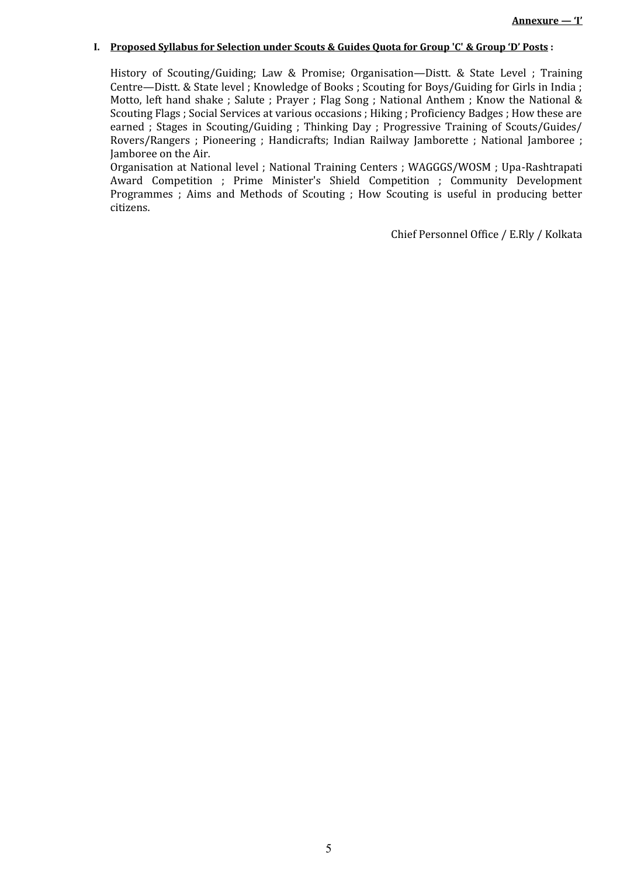#### **I. Proposed Syllabus for Selection under Scouts & Guides Quota for Group 'C' & Group 'D' Posts :**

History of Scouting/Guiding; Law & Promise; Organisation—Distt. & State Level ; Training Centre—Distt. & State level ; Knowledge of Books ; Scouting for Boys/Guiding for Girls in India ; Motto, left hand shake ; Salute ; Prayer ; Flag Song ; National Anthem ; Know the National & Scouting Flags ; Social Services at various occasions ; Hiking ; Proficiency Badges ; How these are earned ; Stages in Scouting/Guiding ; Thinking Day ; Progressive Training of Scouts/Guides/ Rovers/Rangers ; Pioneering ; Handicrafts; Indian Railway Jamborette ; National Jamboree ; Jamboree on the Air.

Organisation at National level ; National Training Centers ; WAGGGS/WOSM ; Upa-Rashtrapati Award Competition ; Prime Minister's Shield Competition ; Community Development Programmes ; Aims and Methods of Scouting ; How Scouting is useful in producing better citizens.

Chief Personnel Office / E.Rly / Kolkata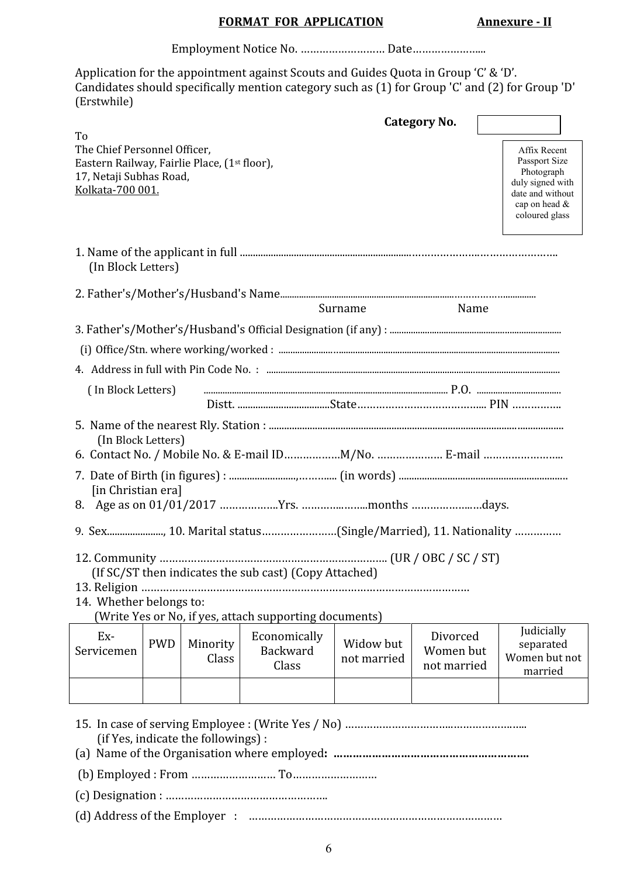# **FORMAT FOR APPLICATION Annexure - II**

Employment Notice No. ……………………… Date…………………...

Application for the appointment against Scouts and Guides Quota in Group 'C' & 'D'. Candidates should specifically mention category such as (1) for Group 'C' and (2) for Group 'D' (Erstwhile)

|                                                                                                                                   |            |                                     |                                                                                                                  |                          | <b>Category No.</b>                  |                                                                                                                        |
|-----------------------------------------------------------------------------------------------------------------------------------|------------|-------------------------------------|------------------------------------------------------------------------------------------------------------------|--------------------------|--------------------------------------|------------------------------------------------------------------------------------------------------------------------|
| To<br>The Chief Personnel Officer,<br>Eastern Railway, Fairlie Place, (1st floor),<br>17, Netaji Subhas Road,<br>Kolkata-700 001. |            |                                     |                                                                                                                  |                          |                                      | Affix Recent<br>Passport Size<br>Photograph<br>duly signed with<br>date and without<br>cap on head &<br>coloured glass |
| (In Block Letters)                                                                                                                |            |                                     |                                                                                                                  |                          |                                      |                                                                                                                        |
|                                                                                                                                   |            |                                     |                                                                                                                  |                          |                                      |                                                                                                                        |
|                                                                                                                                   |            |                                     |                                                                                                                  | Surname                  | Name                                 |                                                                                                                        |
|                                                                                                                                   |            |                                     |                                                                                                                  |                          |                                      |                                                                                                                        |
|                                                                                                                                   |            |                                     |                                                                                                                  |                          |                                      |                                                                                                                        |
|                                                                                                                                   |            |                                     |                                                                                                                  |                          |                                      |                                                                                                                        |
| (In Block Letters)                                                                                                                |            |                                     |                                                                                                                  |                          |                                      |                                                                                                                        |
| (In Block Letters)<br>[in Christian era]                                                                                          |            |                                     |                                                                                                                  |                          |                                      |                                                                                                                        |
| 14. Whether belongs to:                                                                                                           |            |                                     | (If SC/ST then indicates the sub cast) (Copy Attached)<br>(Write Yes or No, if yes, attach supporting documents) |                          |                                      |                                                                                                                        |
| Ex-<br>Servicemen                                                                                                                 | <b>PWD</b> | Minority<br>Class                   | Economically<br>Backward<br>Class                                                                                | Widow but<br>not married | Divorced<br>Women but<br>not married | Judicially<br>separated<br>Women but not<br>married                                                                    |
|                                                                                                                                   |            | (if Yes, indicate the followings) : |                                                                                                                  |                          |                                      |                                                                                                                        |
|                                                                                                                                   |            |                                     |                                                                                                                  |                          |                                      |                                                                                                                        |
|                                                                                                                                   |            |                                     |                                                                                                                  |                          |                                      |                                                                                                                        |
|                                                                                                                                   |            |                                     |                                                                                                                  |                          |                                      |                                                                                                                        |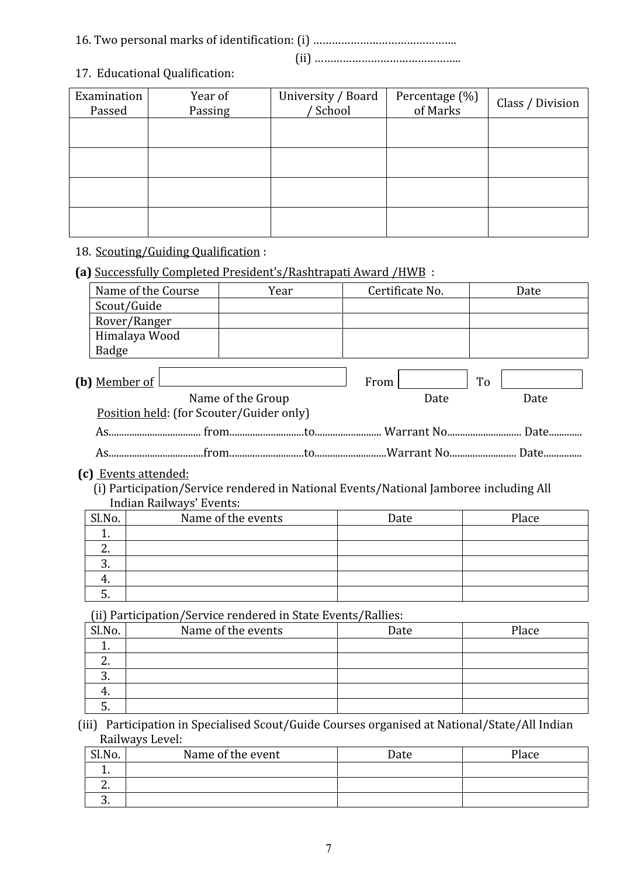# 16. Two personal marks of identification: (i) ……………………………………….

(ii) ………………………………………..

# 17. Educational Qualification:

| Examination<br>Passed | Year of<br>Passing | University / Board<br>' School | Percentage (%)<br>of Marks | Class / Division |
|-----------------------|--------------------|--------------------------------|----------------------------|------------------|
|                       |                    |                                |                            |                  |
|                       |                    |                                |                            |                  |
|                       |                    |                                |                            |                  |
|                       |                    |                                |                            |                  |

# 18. Scouting/Guiding Qualification :

# **(a)** Successfully Completed President's/Rashtrapati Award /HWB :

| Name of the Course   | Year                                                                                  |      | Certificate No. |    | Date |
|----------------------|---------------------------------------------------------------------------------------|------|-----------------|----|------|
| Scout/Guide          |                                                                                       |      |                 |    |      |
| Rover/Ranger         |                                                                                       |      |                 |    |      |
| Himalaya Wood        |                                                                                       |      |                 |    |      |
| Badge                |                                                                                       |      |                 |    |      |
| (b) Member of I      | Name of the Group<br>Position held: (for Scouter/Guider only)                         | From | Date            | To | Date |
|                      |                                                                                       |      |                 |    |      |
|                      |                                                                                       |      |                 |    |      |
| (c) Events attended: | (i) Participation/Service rendered in National Events/National Jamboree including All |      |                 |    |      |

 (i) Participation/Service rendered in National Events/National Jamboree including All Indian Railways' Events:

| Sl.No.   | Name of the events | Date | Place |
|----------|--------------------|------|-------|
| . .      |                    |      |       |
| <u>.</u> |                    |      |       |
| ຸບ.      |                    |      |       |
| 4.       |                    |      |       |
| ຸ,       |                    |      |       |

(ii) Participation/Service rendered in State Events/Rallies:

| Sl.No.   | Name of the events | Date | Place |
|----------|--------------------|------|-------|
|          |                    |      |       |
| <u>.</u> |                    |      |       |
|          |                    |      |       |
|          |                    |      |       |
|          |                    |      |       |

(iii) Participation in Specialised Scout/Guide Courses organised at National/State/All Indian Railways Level:

| Sl.No.   | Name of the event | Date | Place |
|----------|-------------------|------|-------|
| . .      |                   |      |       |
| <u>.</u> |                   |      |       |
| ັບ.      |                   |      |       |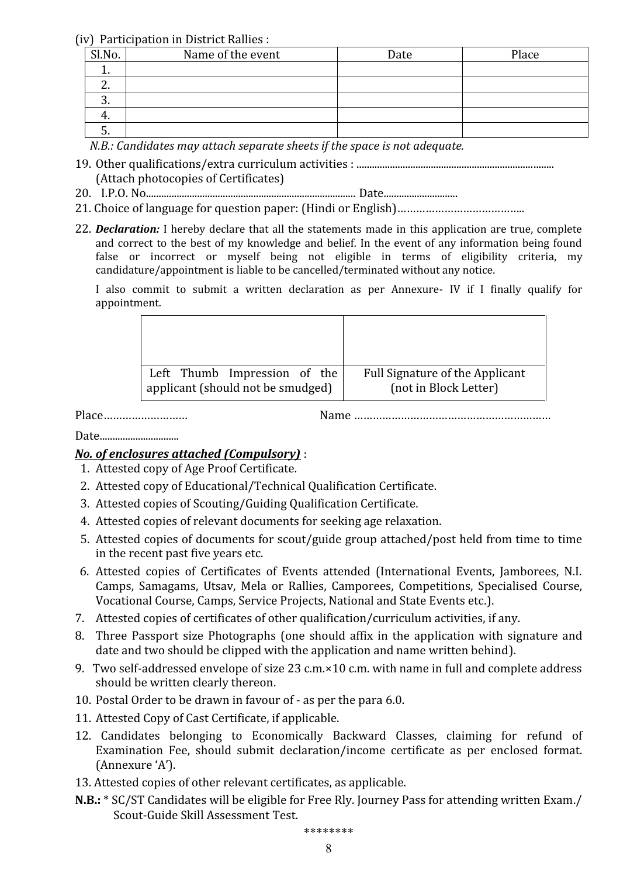(iv) Participation in District Rallies :

| Sl.No.   | Name of the event | Date | Place |
|----------|-------------------|------|-------|
| <b>.</b> |                   |      |       |
| <u>.</u> |                   |      |       |
| ຸບ.      |                   |      |       |
| ч.       |                   |      |       |
| J.       |                   |      |       |

*N.B.: Candidates may attach separate sheets if the space is not adequate.*

- 19. Other qualifications/extra curriculum activities : ............................................................................. (Attach photocopies of Certificates)
- 20. I.P.O. No.................................................................................. Date.............................
- 21. Choice of language for question paper: (Hindi or English)…………………………………..
- 22. *Declaration:* I hereby declare that all the statements made in this application are true, complete and correct to the best of my knowledge and belief. In the event of any information being found false or incorrect or myself being not eligible in terms of eligibility criteria, my candidature/appointment is liable to be cancelled/terminated without any notice.

I also commit to submit a written declaration as per Annexure- IV if I finally qualify for appointment.

| Left Thumb Impression of the      | Full Signature of the Applicant |
|-----------------------------------|---------------------------------|
| applicant (should not be smudged) | (not in Block Letter)           |

Place……………………… Name ………………………………………………………

Date...............................

# *No. of enclosures attached (Compulsory)* :

- 1. Attested copy of Age Proof Certificate.
- 2. Attested copy of Educational/Technical Qualification Certificate.
- 3. Attested copies of Scouting/Guiding Qualification Certificate.
- 4. Attested copies of relevant documents for seeking age relaxation.
- 5. Attested copies of documents for scout/guide group attached/post held from time to time in the recent past five years etc.
- 6. Attested copies of Certificates of Events attended (International Events, Jamborees, N.I. Camps, Samagams, Utsav, Mela or Rallies, Camporees, Competitions, Specialised Course, Vocational Course, Camps, Service Projects, National and State Events etc.).
- 7. Attested copies of certificates of other qualification/curriculum activities, if any.
- 8. Three Passport size Photographs (one should affix in the application with signature and date and two should be clipped with the application and name written behind).
- 9. Two self-addressed envelope of size 23 c.m.×10 c.m. with name in full and complete address should be written clearly thereon.
- 10. Postal Order to be drawn in favour of as per the para 6.0.
- 11. Attested Copy of Cast Certificate, if applicable.
- 12. Candidates belonging to Economically Backward Classes, claiming for refund of Examination Fee, should submit declaration/income certificate as per enclosed format. (Annexure 'A').
- 13. Attested copies of other relevant certificates, as applicable.
- **N.B.:** \* SC/ST Candidates will be eligible for Free Rly. Journey Pass for attending written Exam./ Scout-Guide Skill Assessment Test.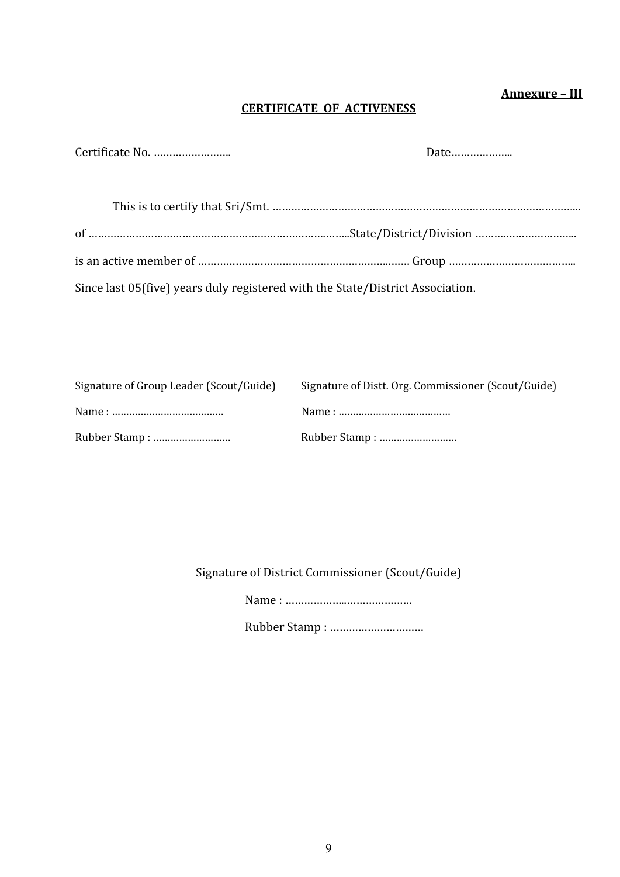# **Annexure – III**

# **CERTIFICATE OF ACTIVENESS**

| Date |
|------|
|      |

| Since last 05(five) years duly registered with the State/District Association. |  |
|--------------------------------------------------------------------------------|--|

| Signature of Group Leader (Scout/Guide) | Signature of Distt. Org. Commissioner (Scout/Guide) |
|-----------------------------------------|-----------------------------------------------------|
|                                         |                                                     |
|                                         | Rubber Stamp:                                       |

Signature of District Commissioner (Scout/Guide)

Name : ………………..…………………

Rubber Stamp : …………………………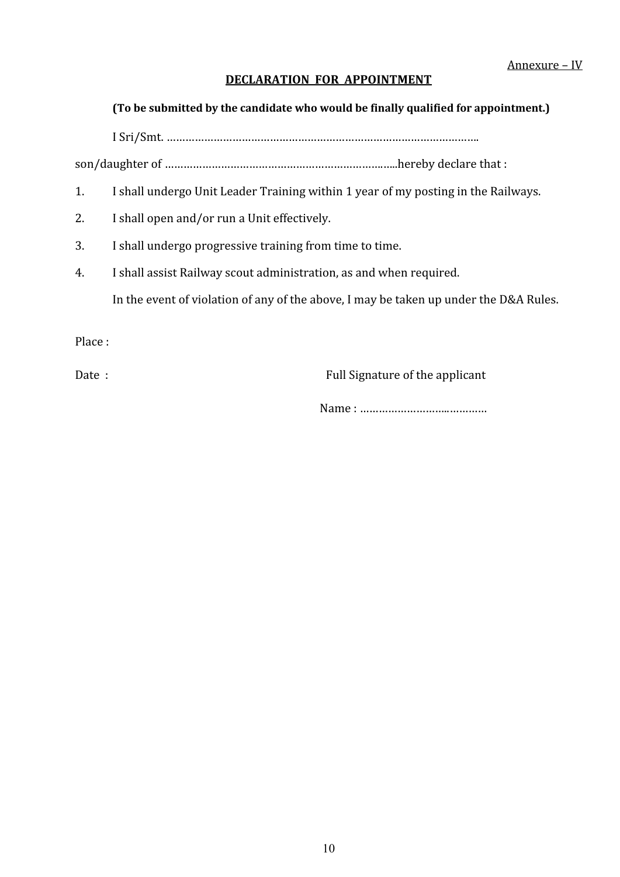# **DECLARATION FOR APPOINTMENT**

# **(To be submitted by the candidate who would be finally qualified for appointment.)**

I Sri/Smt. ……………………………………………………………………………………….

son/daughter of …………………………………………………………….…..hereby declare that :

- 1. I shall undergo Unit Leader Training within 1 year of my posting in the Railways.
- 2. I shall open and/or run a Unit effectively.
- 3. I shall undergo progressive training from time to time.
- 4. I shall assist Railway scout administration, as and when required. In the event of violation of any of the above, I may be taken up under the D&A Rules.

Place :

Date : The state of the applicant state of the applicant state of the applicant

Name : ………………………..…………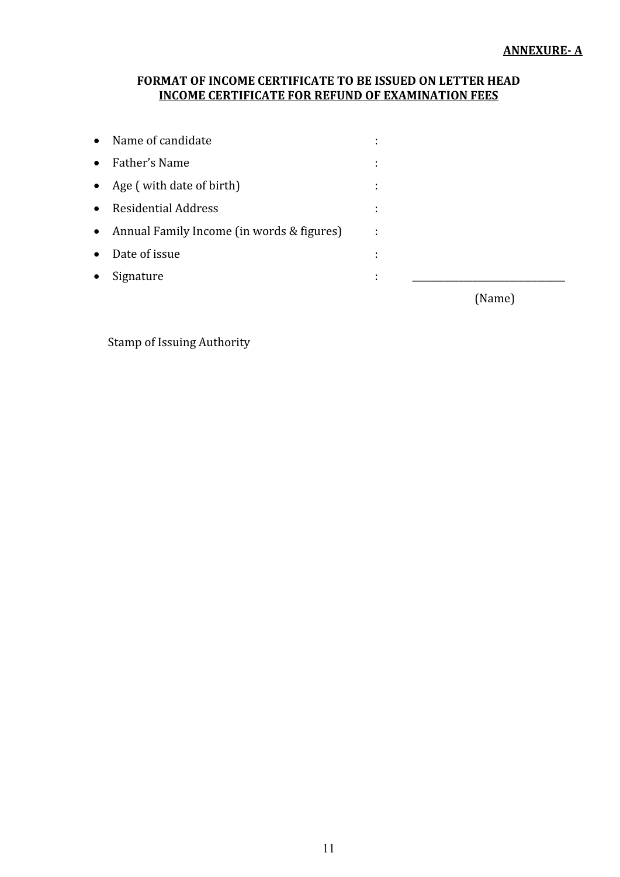# **FORMAT OF INCOME CERTIFICATE TO BE ISSUED ON LETTER HEAD INCOME CERTIFICATE FOR REFUND OF EXAMINATION FEES**

| Name of candidate<br>$\bullet$                         |                     |        |
|--------------------------------------------------------|---------------------|--------|
| Father's Name<br>$\bullet$                             | ٠<br>$\blacksquare$ |        |
| • Age (with date of birth)                             | ÷                   |        |
| <b>Residential Address</b><br>$\bullet$                | ÷                   |        |
| Annual Family Income (in words & figures)<br>$\bullet$ | ÷                   |        |
| Date of issue<br>$\bullet$                             | ٠<br>٠              |        |
| Signature<br>$\bullet$                                 | ٠<br>٠              |        |
|                                                        |                     | (Name) |

# Stamp of Issuing Authority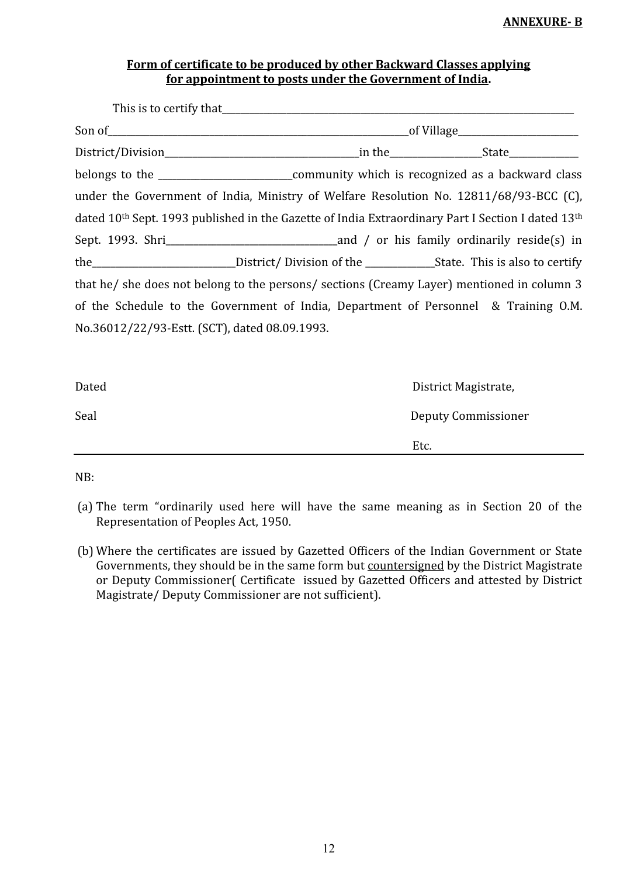## **ANNEXURE- B**

# **Form of certificate to be produced by other Backward Classes applying for appointment to posts under the Government of India.**

| under the Government of India, Ministry of Welfare Resolution No. 12811/68/93-BCC (C),                                    |  |  |
|---------------------------------------------------------------------------------------------------------------------------|--|--|
| dated 10 <sup>th</sup> Sept. 1993 published in the Gazette of India Extraordinary Part I Section I dated 13 <sup>th</sup> |  |  |
|                                                                                                                           |  |  |
| the______________________________District/ Division of the _______________State. This is also to certify                  |  |  |
| that he/ she does not belong to the persons/ sections (Creamy Layer) mentioned in column 3                                |  |  |
| of the Schedule to the Government of India, Department of Personnel & Training O.M.                                       |  |  |
| No.36012/22/93-Estt. (SCT), dated 08.09.1993.                                                                             |  |  |

| Dated | District Magistrate, |
|-------|----------------------|
| Seal  | Deputy Commissioner  |
|       | Etc.                 |

NB:

- (a) The term "ordinarily used here will have the same meaning as in Section 20 of the Representation of Peoples Act, 1950.
- (b) Where the certificates are issued by Gazetted Officers of the Indian Government or State Governments, they should be in the same form but countersigned by the District Magistrate or Deputy Commissioner( Certificate issued by Gazetted Officers and attested by District Magistrate/ Deputy Commissioner are not sufficient).